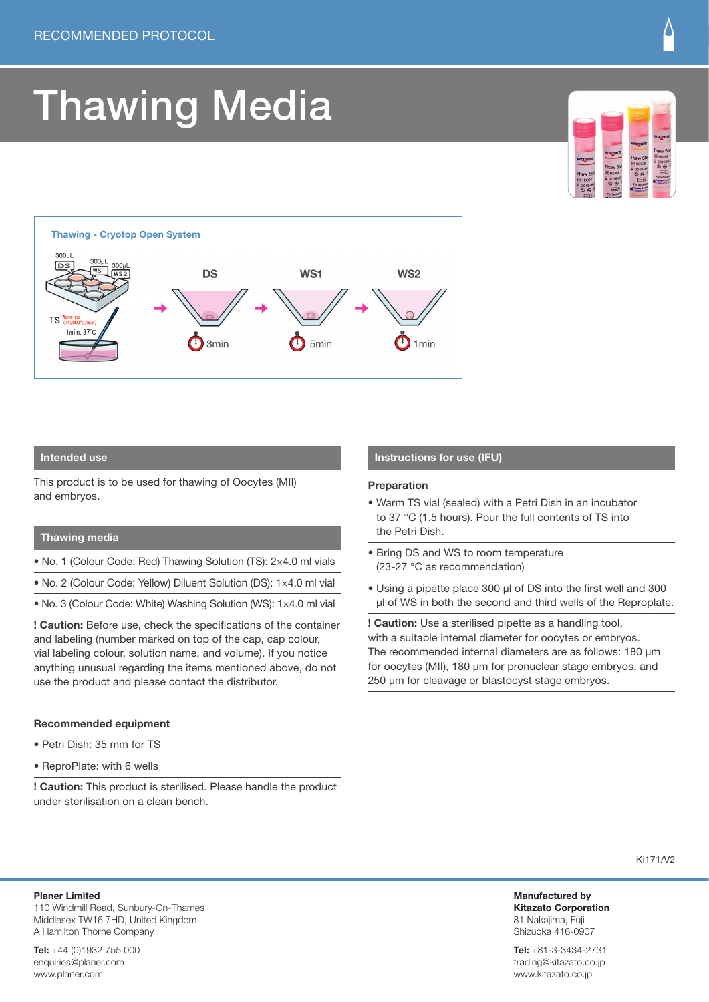# Thawing Media





### **Intended use**

This product is to be used for thawing of Oocytes (MII) and embryos.

#### **Thawing media**

- No. 1 (Colour Code: Red) Thawing Solution (TS): 2×4.0 ml vials
- No. 2 (Colour Code: Yellow) Diluent Solution (DS): 1×4.0 ml vial
- No. 3 (Colour Code: White) Washing Solution (WS): 1×4.0 ml vial

**! Caution:** Before use, check the specifications of the container and labeling (number marked on top of the cap, cap colour, vial labeling colour, solution name, and volume). If you notice anything unusual regarding the items mentioned above, do not use the product and please contact the distributor.

### **Recommended equipment**

- Petri Dish: 35 mm for TS
- ReproPlate: with 6 wells

**! Caution:** This product is sterilised. Please handle the product under sterilisation on a clean bench.

#### **Instructions for use (IFU)**

#### **Preparation**

- Warm TS vial (sealed) with a Petri Dish in an incubator to 37 °C (1.5 hours). Pour the full contents of TS into the Petri Dish.
- Bring DS and WS to room temperature (23-27 $\degree$ C as recommendation)
- Using a pipette place 300 ul of DS into the first well and 300 µl of WS in both the second and third wells of the Reproplate.

**! Caution:** Use a sterilised pipette as a handling tool, with a suitable internal diameter for oocytes or embryos. The recommended internal diameters are as follows: 180 µm for oocytes (MII), 180 µm for pronuclear stage embryos, and 250 µm for cleavage or blastocyst stage embryos.

Ki171/V2

**Manufactured by Kitazato Corporation** 81 Nakajima, Fuji Shizuoka 416-0907

**Tel:** +81-3-3434-2731 trading@kitazato.co.jp www.kitazato.co.jp

**Planer Limited**

110 Windmill Road, Sunbury-On-Thames Middlesex TW16 7HD, United Kingdom A Hamilton Thorne Company

**Tel:** +44 (0)1932 755 000 enquiries@planer.com www.planer.com